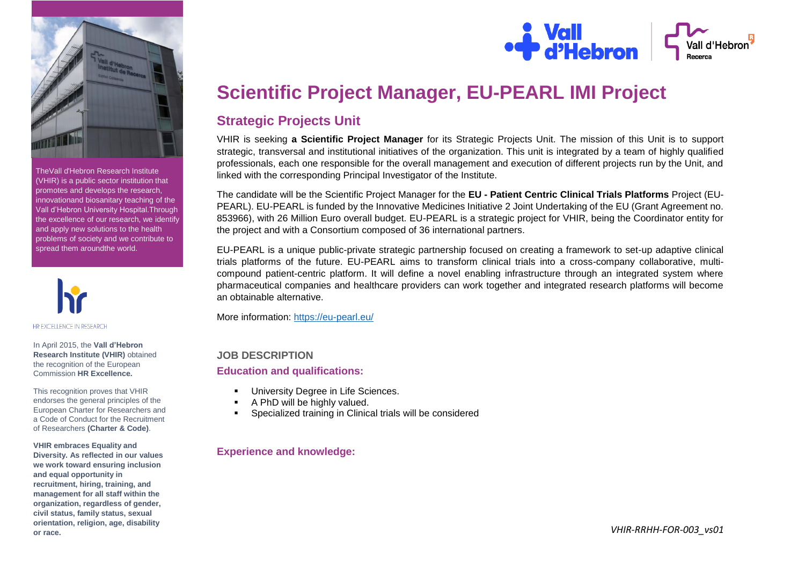

TheVall d'Hebron Research Institute (VHIR) is a public sector institution that promotes and develops the research, innovationand biosanitary teaching of the Vall d'Hebron University Hospital.Through the excellence of our research, we identify and apply new solutions to the health problems of society and we contribute to spread them aroundthe world.



In April 2015, the **Vall d'Hebron Research Institute (VHIR)** obtained the recognition of the European Commission **HR Excellence.**

This recognition proves that VHIR endorses the general principles of the European Charter for Researchers and a Code of Conduct for the Recruitment of Researchers **(Charter & Code)**.

**VHIR embraces Equality and Diversity. As reflected in our values we work toward ensuring inclusion and equal opportunity in recruitment, hiring, training, and management for all staff within the organization, regardless of gender, civil status, family status, sexual orientation, religion, age, disability or race.**



# **Scientific Project Manager, EU-PEARL IMI Project**

# **Strategic Projects Unit**

VHIR is seeking **a Scientific Project Manager** for its Strategic Projects Unit. The mission of this Unit is to support strategic, transversal and institutional initiatives of the organization. This unit is integrated by a team of highly qualified professionals, each one responsible for the overall management and execution of different projects run by the Unit, and linked with the corresponding Principal Investigator of the Institute.

The candidate will be the Scientific Project Manager for the **EU - Patient Centric Clinical Trials Platforms** Project (EU-PEARL). EU-PEARL is funded by the Innovative Medicines Initiative 2 Joint Undertaking of the EU (Grant Agreement no. 853966), with 26 Million Euro overall budget. EU-PEARL is a strategic project for VHIR, being the Coordinator entity for the project and with a Consortium composed of 36 international partners.

EU-PEARL is a unique public-private strategic partnership focused on creating a framework to set-up adaptive clinical trials platforms of the future. EU-PEARL aims to transform clinical trials into a cross-company collaborative, multicompound patient-centric platform. It will define a novel enabling infrastructure through an integrated system where pharmaceutical companies and healthcare providers can work together and integrated research platforms will become an obtainable alternative.

More information:<https://eu-pearl.eu/>

# **JOB DESCRIPTION**

## **Education and qualifications:**

- University Degree in Life Sciences.
- A PhD will be highly valued.
- Specialized training in Clinical trials will be considered

# **Experience and knowledge:**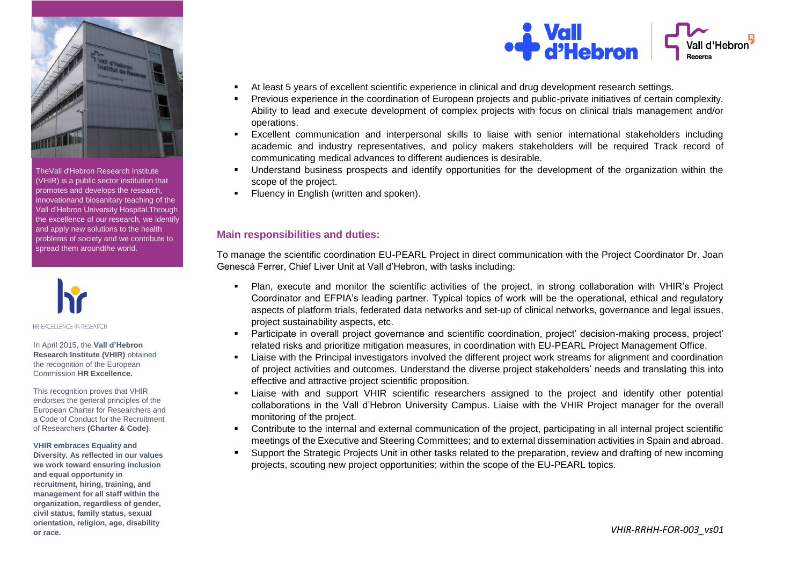

TheVall d'Hebron Research Institute (VHIR) is a public sector institution that promotes and develops the research, innovationand biosanitary teaching of the Vall d'Hebron University Hospital.Through the excellence of our research, we identify and apply new solutions to the health problems of society and we contribute to spread them aroundthe world.



#### In April 2015, the **Vall d'Hebron Research Institute (VHIR)** obtained the recognition of the European Commission **HR Excellence.**

This recognition proves that VHIR endorses the general principles of the European Charter for Researchers and a Code of Conduct for the Recruitment of Researchers **(Charter & Code)**.

#### **VHIR embraces Equality and**

**Diversity. As reflected in our values we work toward ensuring inclusion and equal opportunity in recruitment, hiring, training, and management for all staff within the organization, regardless of gender, civil status, family status, sexual orientation, religion, age, disability or race.**



- At least 5 years of excellent scientific experience in clinical and drug development research settings.
- Previous experience in the coordination of European projects and public-private initiatives of certain complexity. Ability to lead and execute development of complex projects with focus on clinical trials management and/or operations.
- Excellent communication and interpersonal skills to liaise with senior international stakeholders including academic and industry representatives, and policy makers stakeholders will be required Track record of communicating medical advances to different audiences is desirable.
- Understand business prospects and identify opportunities for the development of the organization within the scope of the project.
- Fluency in English (written and spoken).

# **Main responsibilities and duties:**

To manage the scientific coordination EU-PEARL Project in direct communication with the Project Coordinator Dr. Joan Genescà Ferrer, Chief Liver Unit at Vall d'Hebron, with tasks including:

- Plan, execute and monitor the scientific activities of the project, in strong collaboration with VHIR's Project Coordinator and EFPIA's leading partner. Typical topics of work will be the operational, ethical and regulatory aspects of platform trials, federated data networks and set-up of clinical networks, governance and legal issues, project sustainability aspects, etc.
- Participate in overall project governance and scientific coordination, project' decision-making process, project' related risks and prioritize mitigation measures, in coordination with EU-PEARL Project Management Office.
- Liaise with the Principal investigators involved the different project work streams for alignment and coordination of project activities and outcomes. Understand the diverse project stakeholders' needs and translating this into effective and attractive project scientific proposition.
- Liaise with and support VHIR scientific researchers assigned to the project and identify other potential collaborations in the Vall d'Hebron University Campus. Liaise with the VHIR Project manager for the overall monitoring of the project.
- Contribute to the internal and external communication of the project, participating in all internal project scientific meetings of the Executive and Steering Committees; and to external dissemination activities in Spain and abroad.
- Support the Strategic Projects Unit in other tasks related to the preparation, review and drafting of new incoming projects, scouting new project opportunities; within the scope of the EU-PEARL topics.